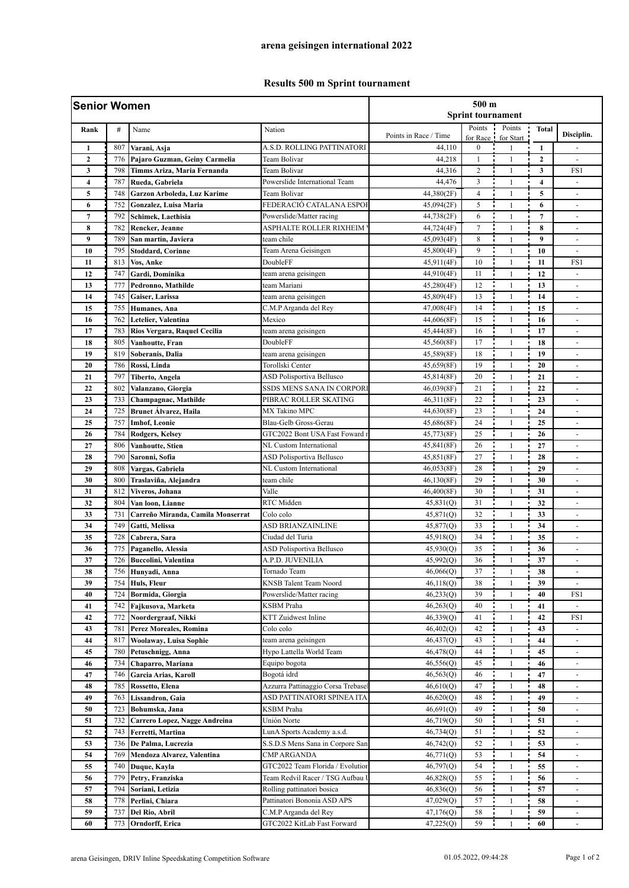## **Results 500 m Sprint tournament**

| <b>Senior Women</b>            |            |                                                   | 500 <sub>m</sub><br><b>Sprint tournament</b>  |                        |                          |                              |                         |                                                          |
|--------------------------------|------------|---------------------------------------------------|-----------------------------------------------|------------------------|--------------------------|------------------------------|-------------------------|----------------------------------------------------------|
| Rank                           | #          | Name                                              | Nation                                        |                        | Points                   | Points                       | <b>Total</b>            |                                                          |
|                                |            |                                                   |                                               | Points in Race / Time  |                          | for Race for Start           |                         | Disciplin.                                               |
| $\mathbf{1}$<br>$\overline{2}$ | 807<br>776 | Varani, Asja<br>Pajaro Guzman, Geiny Carmelia     | A.S.D. ROLLING PATTINATORI<br>Team Bolivar    | 44,110<br>44,218       | $\bf{0}$<br>$\mathbf{1}$ | 1<br>$\mathbf{1}$            | 1<br>$\mathbf{2}$       | ä,                                                       |
| 3                              | 798        | Timms Ariza, Maria Fernanda                       | Team Bolivar                                  | 44,316                 | $\overline{c}$           | $\mathbf{1}$                 | 3                       | FS1                                                      |
| 4                              | 787        | Rueda, Gabriela                                   | Powerslide International Team                 | 44,476                 | 3                        | $\mathbf{1}$                 | $\overline{\mathbf{4}}$ | L.                                                       |
| 5                              | 748        | Garzon Arboleda, Luz Karime                       | Team Bolivar                                  | 44,380(2F)             | 4                        | $\mathbf{1}$                 | 5                       | ٠                                                        |
| 6                              | 752        | Gonzalez, Luisa Maria                             | FEDERACIÓ CATALANA ESPOI                      | 45,094(2F)             | 5                        | $\mathbf{1}$                 | 6                       | $\overline{\phantom{a}}$                                 |
| $\overline{7}$                 | 792        | Schimek, Laethisia                                | Powerslide/Matter racing                      | 44,738(2F)             | 6                        | $\mathbf{1}$                 | $\overline{7}$          |                                                          |
| 8                              | 782        | Rencker, Jeanne                                   | ASPHALTE ROLLER RIXHEIM                       | 44,724(4F)             | $\tau$                   | $\mathbf{1}$                 | 8                       | ٠                                                        |
| 9                              | 789        | San martín, Javiera                               | team chile                                    | 45,093(4F)             | 8                        | $\mathbf{1}$                 | 9                       |                                                          |
| 10                             | 795        | <b>Stoddard, Corinne</b>                          | Team Arena Geisingen                          | 45,800(4F)             | 9                        | $\mathbf{1}$                 | 10                      | ä,                                                       |
| 11                             | 813        | Vos, Anke                                         | DoubleFF                                      | 45,911(4F)             | 10                       | $\mathbf{1}$                 | 11                      | FS1                                                      |
| 12                             | 747        | Gardi, Dominika                                   | team arena geisingen                          | 44,910(4F)             | 11                       | $\mathbf{1}$                 | 12                      |                                                          |
| 13                             | 777        | Pedronno, Mathilde                                | team Mariani                                  | 45,280(4F)             | 12                       | $\mathbf{1}$                 | 13                      | $\overline{a}$                                           |
| 14                             | 745        | Gaiser, Larissa                                   | team arena geisingen                          | 45,809(4F)             | 13                       | $\mathbf{1}$                 | 14                      |                                                          |
| 15                             | 755        | <b>Humanes</b> , Ana                              | C.M.P Arganda del Rey                         | 47,008(4F)             | 14                       | $\mathbf{1}$                 | 15                      | ä,                                                       |
| 16                             | 762        | Letelier, Valentina                               | Mexico                                        | 44,606(8F)             | 15                       | $\mathbf{1}$                 | 16                      | $\blacksquare$                                           |
| 17                             | 783        | Rios Vergara, Raquel Cecilia                      | team arena geisingen                          | 45,444(8F)             | 16                       | $\mathbf{1}$                 | 17                      |                                                          |
| 18                             | 805        | Vanhoutte, Fran                                   | DoubleFF                                      | 45,560(8F)             | 17                       | $\mathbf{1}$                 | 18                      | $\overline{a}$                                           |
| 19                             | 819        | Soberanis, Dalia                                  | team arena geisingen                          | 45,589(8F)             | 18                       | $\mathbf{1}$                 | 19                      | ä,                                                       |
| 20                             | 786        | Rossi, Linda                                      | Torollski Center                              | 45,659(8F)             | 19                       | $\mathbf{1}$                 | 20                      | $\overline{\phantom{a}}$                                 |
| 21                             | 797        | Tiberto, Angela                                   | <b>ASD Polisportiva Bellusco</b>              | 45,814(8F)             | 20                       | $\mathbf{1}$                 | 21                      | ٠                                                        |
| 22                             | 802        | Valanzano, Giorgia                                | SSDS MENS SANA IN CORPORI                     | 46,039(8F)             | 21                       | $\mathbf{1}$                 | 22                      | $\overline{\phantom{a}}$                                 |
| 23                             | 733        | Champagnac, Mathilde                              | PIBRAC ROLLER SKATING                         | 46,311(8F)             | 22                       | $\mathbf{1}$                 | 23                      | ä,                                                       |
| 24                             | 725        | <b>Brunet Álvarez</b> , Haila                     | <b>MX Takino MPC</b>                          | 44,630(8F)             | 23                       | $\mathbf{1}$                 | 24                      | ä,                                                       |
| 25                             | 757        | <b>Imhof, Leonie</b>                              | Blau-Gelb Gross-Gerau                         | 45,686(8F)             | 24                       | $\mathbf{1}$                 | 25                      | ÷                                                        |
| 26                             | 784        | <b>Rodgers, Kelsey</b>                            | GTC2022 Bont USA Fast Foward 1                | 45,773(8F)             | 25                       | $\mathbf{1}$                 | 26                      | ٠                                                        |
| 27                             | 806        | Vanhoutte, Stien                                  | NL Custom International                       | 45,841(8F)             | 26                       | $\mathbf{1}$                 | 27                      |                                                          |
| 28                             | 790        | Saronni, Sofia                                    | <b>ASD Polisportiva Bellusco</b>              | 45,851(8F)             | 27                       | $\mathbf{1}$                 | 28                      |                                                          |
| 29                             | 808        | Vargas, Gabriela                                  | NL Custom International                       | 46,053(8F)             | 28                       | $\mathbf{1}$                 | 29                      | $\blacksquare$                                           |
| 30                             | 800        | Traslaviña, Alejandra                             | team chile                                    | 46,130(8F)             | 29                       | $\mathbf{1}$                 | 30                      |                                                          |
| 31                             | 812        | Viveros, Johana                                   | Valle                                         | 46,400(8F)             | 30                       | $\mathbf{1}$                 | 31                      | $\overline{\phantom{a}}$                                 |
| 32                             | 804        | Van loon, Lianne                                  | RTC Midden                                    | 45,831(Q)              | 31                       | $\mathbf{1}$                 | 32                      | $\qquad \qquad \blacksquare$                             |
| 33                             | 731        | Carreño Miranda, Camila Monserrat                 | Colo colo                                     | 45,871(Q)              | 32                       | $\mathbf{1}$                 | 33                      |                                                          |
| 34                             | 749        | Gatti, Melissa                                    | ASD BRIANZAINLINE                             | 45,877(Q)              | 33                       | $\mathbf{1}$                 | 34                      | $\blacksquare$                                           |
| 35                             | 728        | Cabrera, Sara                                     | Ciudad del Turia                              | 45,918(Q)              | 34<br>35                 | $\mathbf{1}$<br>$\mathbf{1}$ | 35                      | $\blacksquare$                                           |
| 36<br>37                       | 775<br>726 | Paganello, Alessia<br><b>Buccolini, Valentina</b> | ASD Polisportiva Bellusco<br>A.P.D. JUVENILIA | 45,930(Q)<br>45,992(Q) | 36                       | $\mathbf{1}$                 | 36<br>37                | $\qquad \qquad \blacksquare$<br>$\overline{\phantom{a}}$ |
|                                |            |                                                   |                                               | 46,066(Q)              |                          | 1                            |                         | $\overline{\phantom{a}}$                                 |
| 38<br>39                       | 756<br>754 | Hunyadi, Anna<br>Huls, Fleur                      | Tornado Team<br>KNSB Talent Team Noord        | 46,118(Q)              | 37<br>38                 | $\mathbf{1}$                 | 38<br>39                |                                                          |
| 40                             | 724        | Bormida, Giorgia                                  | Powerslide/Matter racing                      | 46,233(Q)              | 39                       | $\mathbf{1}$                 | 40                      | FS1                                                      |
| 41                             | 742        | Fajkusova, Marketa                                | KSBM Praha                                    | 46,263(Q)              | 40                       | $\mathbf{1}$                 | 41                      | $\blacksquare$                                           |
| 42                             | 772        | Noordergraaf, Nikki                               | KTT Zuidwest Inline                           | 46,339(Q)              | 41                       | $\mathbf{1}$                 | 42                      | FS1                                                      |
| 43                             | 781        | Perez Moreales, Romina                            | Colo colo                                     | 46,402(Q)              | 42                       | $\mathbf{1}$                 | 43                      |                                                          |
| 44                             | 817        | Woolaway, Luisa Sophie                            | team arena geisingen                          | 46,437(Q)              | 43                       | $\mathbf{1}$                 | 44                      | $\overline{\phantom{a}}$                                 |
| 45                             | 780        | Petuschnigg, Anna                                 | Hypo Lattella World Team                      | 46,478(Q)              | 44                       | $\mathbf{1}$                 | 45                      |                                                          |
| 46                             | 734        | Chaparro, Mariana                                 | Equipo bogota                                 | 46,556(Q)              | 45                       | $\mathbf{1}$                 | 46                      |                                                          |
| 47                             | 746        | Garcia Arias, Karoll                              | Bogotá idrd                                   | 46,563(Q)              | 46                       | $\mathbf{1}$                 | 47                      | $\overline{\phantom{a}}$                                 |
| 48                             | 785        | Rossetto, Elena                                   | Azzurra Pattinaggio Corsa Trebasel            | 46,610(Q)              | 47                       | 1                            | 48                      |                                                          |
| 49                             | 763        | Lissandron, Gaia                                  | ASD PATTINATORI SPINEA ITA                    | 46,620(Q)              | 48                       | $\mathbf{1}$                 | 49                      | $\overline{\phantom{a}}$                                 |
| 50                             | 723        | Bohumska, Jana                                    | KSBM Praha                                    | 46,691(Q)              | 49                       | $\mathbf{1}$                 | 50                      | $\overline{\phantom{a}}$                                 |
| 51                             | 732        | Carrero Lopez, Nagge Andreina                     | Unión Norte                                   | 46,719(Q)              | 50                       | $\mathbf{1}$                 | 51                      |                                                          |
| 52                             | 743        | Ferretti, Martina                                 | LunA Sports Academy a.s.d.                    | 46,734(Q)              | 51                       | $\mathbf{1}$                 | 52                      | $\overline{\phantom{a}}$                                 |
| 53                             | 736        | De Palma, Lucrezia                                | S.S.D.S Mens Sana in Corpore San              | 46,742(Q)              | 52                       | 1                            | 53                      | $\overline{\phantom{a}}$                                 |
| 54                             | 769        | Mendoza Alvarez, Valentina                        | <b>CMP ARGANDA</b>                            | 46,771(Q)              | 53                       | 1                            | 54                      |                                                          |
| 55                             | 740        | Duque, Kayla                                      | GTC2022 Team Florida / Evolutior              | 46,797(Q)              | 54                       | $\mathbf{1}$                 | 55                      |                                                          |
| 56                             | 779        | Petry, Franziska                                  | Team Redvil Racer / TSG Aufbau 1              | 46,828(Q)              | 55                       | $\mathbf{1}$                 | 56                      |                                                          |
| 57                             | 794        | Soriani, Letizia                                  | Rolling pattinatori bosica                    | 46,836(Q)              | 56                       | 1                            | 57                      | $\overline{\phantom{a}}$                                 |
| 58                             | 778        | Perlini, Chiara                                   | Pattinatori Bononia ASD APS                   | 47,029(Q)              | 57                       | $\mathbf{1}$                 | 58                      | $\overline{\phantom{a}}$                                 |
| 59                             | 737        | Del Rio, Abril                                    | C.M.P Arganda del Rey                         | 47,176(Q)              | 58                       | 1                            | 59                      | $\overline{\phantom{a}}$                                 |
| 60                             | 773        | Orndorff, Erica                                   | GTC2022 KitLab Fast Forward                   | 47,225(Q)              | 59                       | $\mathbf{1}$                 | 60                      |                                                          |